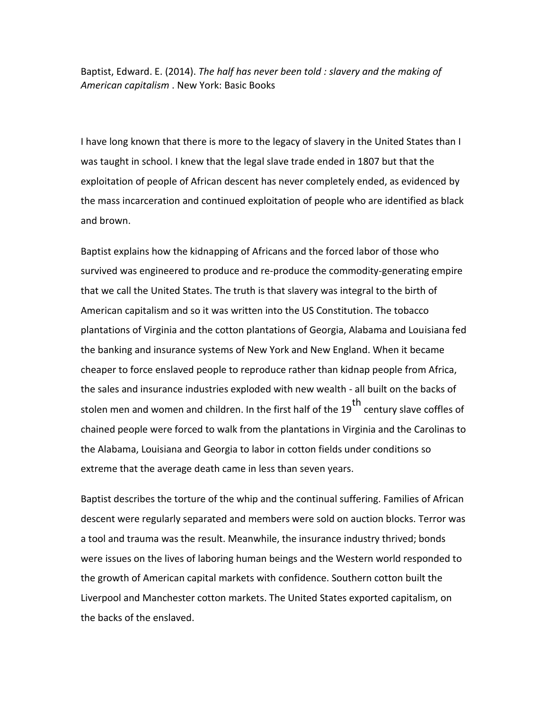Baptist, Edward. E. (2014). *The half has never been told : slavery and the making of American capitalism* . New York: Basic Books

I have long known that there is more to the legacy of slavery in the United States than I was taught in school. I knew that the legal slave trade ended in 1807 but that the exploitation of people of African descent has never completely ended, as evidenced by the mass incarceration and continued exploitation of people who are identified as black and brown.

Baptist explains how the kidnapping of Africans and the forced labor of those who survived was engineered to produce and re-produce the commodity-generating empire that we call the United States. The truth is that slavery was integral to the birth of American capitalism and so it was written into the US Constitution. The tobacco plantations of Virginia and the cotton plantations of Georgia, Alabama and Louisiana fed the banking and insurance systems of New York and New England. When it became cheaper to force enslaved people to reproduce rather than kidnap people from Africa, the sales and insurance industries exploded with new wealth - all built on the backs of stolen men and women and children. In the first half of the 19<sup>th</sup> century slave coffles of chained people were forced to walk from the plantations in Virginia and the Carolinas to the Alabama, Louisiana and Georgia to labor in cotton fields under conditions so extreme that the average death came in less than seven years.

Baptist describes the torture of the whip and the continual suffering. Families of African descent were regularly separated and members were sold on auction blocks. Terror was a tool and trauma was the result. Meanwhile, the insurance industry thrived; bonds were issues on the lives of laboring human beings and the Western world responded to the growth of American capital markets with confidence. Southern cotton built the Liverpool and Manchester cotton markets. The United States exported capitalism, on the backs of the enslaved.